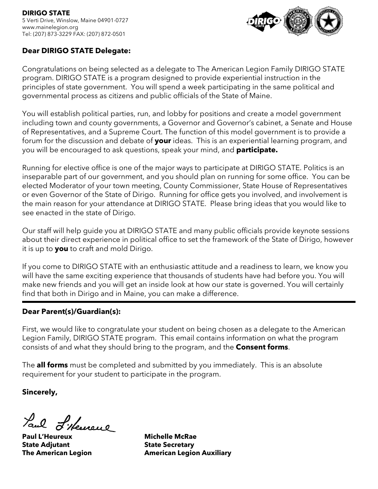

### **Dear DIRIGO STATE Delegate:**

Congratulations on being selected as a delegate to The American Legion Family DIRIGO STATE program. DIRIGO STATE is a program designed to provide experiential instruction in the principles of state government. You will spend a week participating in the same political and governmental process as citizens and public officials of the State of Maine.

You will establish political parties, run, and lobby for positions and create a model government including town and county governments, a Governor and Governor's cabinet, a Senate and House of Representatives, and a Supreme Court. The function of this model government is to provide a forum for the discussion and debate of **your** ideas. This is an experiential learning program, and you will be encouraged to ask questions, speak your mind, and **participate.**

Running for elective office is one of the major ways to participate at DIRIGO STATE. Politics is an inseparable part of our government, and you should plan on running for some office. You can be elected Moderator of your town meeting, County Commissioner, State House of Representatives or even Governor of the State of Dirigo. Running for office gets you involved, and involvement is the main reason for your attendance at DIRIGO STATE. Please bring ideas that you would like to see enacted in the state of Dirigo.

Our staff will help guide you at DIRIGO STATE and many public officials provide keynote sessions about their direct experience in political office to set the framework of the State of Dirigo, however it is up to **you** to craft and mold Dirigo.

If you come to DIRIGO STATE with an enthusiastic attitude and a readiness to learn, we know you will have the same exciting experience that thousands of students have had before you. You will make new friends and you will get an inside look at how our state is governed. You will certainly find that both in Dirigo and in Maine, you can make a difference.

### **Dear Parent(s)/Guardian(s):**

First, we would like to congratulate your student on being chosen as a delegate to the American Legion Family, DIRIGO STATE program. This email contains information on what the program consists of and what they should bring to the program, and the **Consent forms**.

The **all forms** must be completed and submitted by you immediately. This is an absolute requirement for your student to participate in the program.

**Sincerely,**

Laul L'Herreul

**Paul L'Heureux Michelle McRae State Adjutant State Secretary** 

**The American Legion American Legion Auxiliary**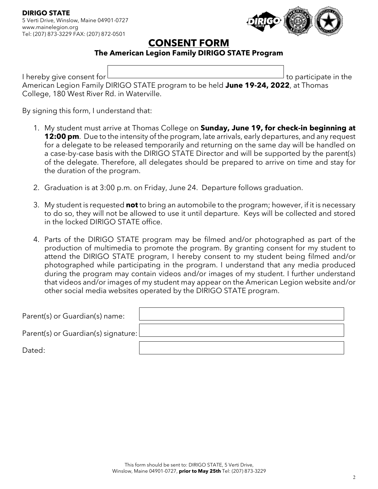

# **CONSENT FORM**

### **The American Legion Family DIRIGO STATE Program**

I hereby give consent for  $\Box$  to participate in the American Legion Family DIRIGO STATE program to be held **June 19-24, 2022**, at Thomas College, 180 West River Rd. in Waterville.

By signing this form, I understand that:

- 1. My student must arrive at Thomas College on **Sunday, June 19, for check-in beginning at 12:00 pm**. Due to the intensity of the program, late arrivals, early departures, and any request for a delegate to be released temporarily and returning on the same day will be handled on a case-by-case basis with the DIRIGO STATE Director and will be supported by the parent(s) of the delegate. Therefore, all delegates should be prepared to arrive on time and stay for the duration of the program.
- 2. Graduation is at 3:00 p.m. on Friday, June 24. Departure follows graduation.
- 3. My student is requested **not** to bring an automobile to the program; however, if it is necessary to do so, they will not be allowed to use it until departure. Keys will be collected and stored in the locked DIRIGO STATE office.
- 4. Parts of the DIRIGO STATE program may be filmed and/or photographed as part of the production of multimedia to promote the program. By granting consent for my student to attend the DIRIGO STATE program, I hereby consent to my student being filmed and/or photographed while participating in the program. I understand that any media produced during the program may contain videos and/or images of my student. I further understand that videos and/or images of my student may appear on the American Legion website and/or other social media websites operated by the DIRIGO STATE program.

| Parent(s) or Guardian(s) name:        |  |
|---------------------------------------|--|
| Parent(s) or Guardian(s) signature: [ |  |
| Dated:                                |  |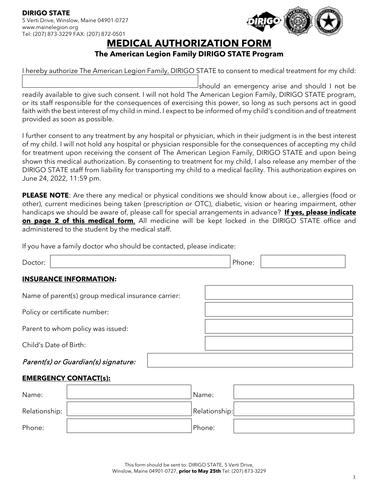

# **MEDICAL AUTHORIZATION FORM**

### **The American Legion Family DIRIGO STATE Program**

I hereby authorize The American Legion Family, DIRIGO STATE to consent to medical treatment for my child:

should an emergency arise and should I not be readily available to give such consent. I will not hold The American Legion Family, DIRIGO STATE program, or its staff responsible for the consequences of exercising this power, so long as such persons act in good faith with the best interest of my child in mind. I expect to be informed of my child's condition and of treatment provided as soon as possible.

I further consent to any treatment by any hospital or physician, which in their judgment is in the best interest of my child. I will not hold any hospital or physician responsible for the consequences of accepting my child for treatment upon receiving the consent of The American Legion Family, DIRIGO STATE and upon being shown this medical authorization. By consenting to treatment for my child, I also release any member of the DIRIGO STATE staff from liability for transporting my child to a medical facility. This authorization expires on June 24, 2022, 11:59 pm.

**PLEASE NOTE**: Are there any medical or physical conditions we should know about i.e., allergies (food or other), current medicines being taken (prescription or OTC), diabetic, vision or hearing impairment, other handicaps we should be aware of, please call for special arrangements in advance? **If yes, please indicate on page 2 of this medical form**. All medicine will be kept locked in the DIRIGO STATE office and administered to the student by the medical staff.

If you have a family doctor who should be contacted, please indicate:

| Doctor: |                                                    | Phone: |  |
|---------|----------------------------------------------------|--------|--|
|         | <b>INSURANCE INFORMATION:</b>                      |        |  |
|         | Name of parent(s) group medical insurance carrier: |        |  |
|         | Policy or certificate number:                      |        |  |
|         | Parent to whom policy was issued:                  |        |  |
|         | Child's Date of Birth:                             |        |  |
|         | Parent(s) or Guardian(s) signature:                |        |  |
|         |                                                    |        |  |

### **EMERGENCY CONTACT(s):**

| Name:         | Name:         |  |
|---------------|---------------|--|
| Relationship: | Relationship: |  |
| Phone:        | Phone:        |  |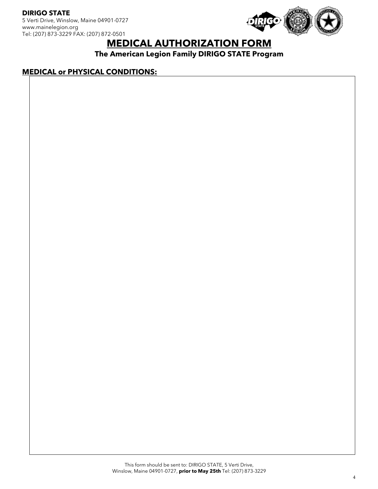**DIRIGO STATE** 5 Verti Drive, Winslow, Maine 04901-0727 www.mainelegion.org Tel: (207) 873-3229 FAX: (207) 872-0501



# **MEDICAL AUTHORIZATION FORM**

**The American Legion Family DIRIGO STATE Program**

#### **MEDICAL or PHYSICAL CONDITIONS:**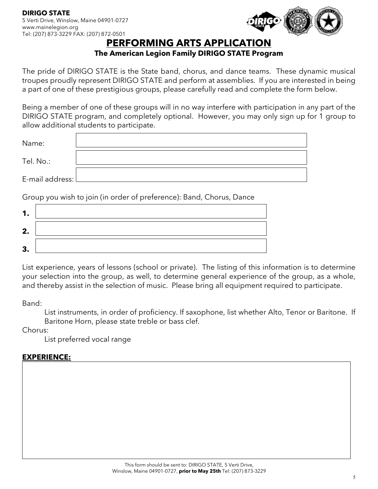

# **PERFORMING ARTS APPLICATION**

### **The American Legion Family DIRIGO STATE Program**

The pride of DIRIGO STATE is the State band, chorus, and dance teams. These dynamic musical troupes proudly represent DIRIGO STATE and perform at assemblies. If you are interested in being a part of one of these prestigious groups, please carefully read and complete the form below.

Being a member of one of these groups will in no way interfere with participation in any part of the DIRIGO STATE program, and completely optional. However, you may only sign up for 1 group to allow additional students to participate.

| Name:             |  |
|-------------------|--|
| Tel. No.:         |  |
| E-mail address: l |  |

Group you wish to join (in order of preference): Band, Chorus, Dance

| 2.     |  |
|--------|--|
| ≏<br>◡ |  |

List experience, years of lessons (school or private). The listing of this information is to determine your selection into the group, as well, to determine general experience of the group, as a whole, and thereby assist in the selection of music. Please bring all equipment required to participate.

Band:

List instruments, in order of proficiency. If saxophone, list whether Alto, Tenor or Baritone. If Baritone Horn, please state treble or bass clef.

Chorus:

List preferred vocal range

### **EXPERIENCE:**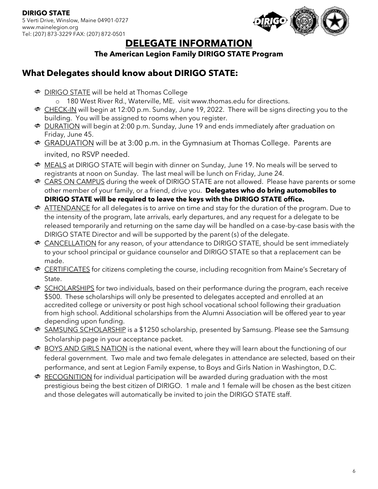

# **DELEGATE INFORMATION**

### **The American Legion Family DIRIGO STATE Program**

## **What Delegates should know about DIRIGO STATE:**

**<sup>●</sup>** DIRIGO STATE will be held at Thomas College

o 180 West River Rd., Waterville, ME. visit www.thomas.edu for directions.

- CHECK-IN will begin at 12:00 p.m. Sunday, June 19, 2022. There will be signs directing you to the building. You will be assigned to rooms when you register.
- **DURATION** will begin at 2:00 p.m. Sunday, June 19 and ends immediately after graduation on Friday, June 45.
- $\bullet$  **GRADUATION** will be at 3:00 p.m. in the Gymnasium at Thomas College. Parents are invited, no RSVP needed.
- **MEALS** at DIRIGO STATE will begin with dinner on Sunday, June 19. No meals will be served to registrants at noon on Sunday. The last meal will be lunch on Friday, June 24.
- **CARS ON CAMPUS** during the week of DIRIGO STATE are not allowed. Please have parents or some other member of your family, or a friend, drive you. **Delegates who do bring automobiles to DIRIGO STATE will be required to leave the keys with the DIRIGO STATE office.**
- **ATTENDANCE** for all delegates is to arrive on time and stay for the duration of the program. Due to the intensity of the program, late arrivals, early departures, and any request for a delegate to be released temporarily and returning on the same day will be handled on a case-by-case basis with the DIRIGO STATE Director and will be supported by the parent (s) of the delegate.
- CANCELLATION for any reason, of your attendance to DIRIGO STATE, should be sent immediately to your school principal or guidance counselor and DIRIGO STATE so that a replacement can be made.
- **ERTIFICATES** for citizens completing the course, including recognition from Maine's Secretary of State.
- SCHOLARSHIPS for two individuals, based on their performance during the program, each receive \$500. These scholarships will only be presented to delegates accepted and enrolled at an accredited college or university or post high school vocational school following their graduation from high school. Additional scholarships from the Alumni Association will be offered year to year depending upon funding.
- **SAMSUNG SCHOLARSHIP** is a \$1250 scholarship, presented by Samsung. Please see the Samsung Scholarship page in your acceptance packet.
- **BOYS AND GIRLS NATION** is the national event, where they will learn about the functioning of our federal government. Two male and two female delegates in attendance are selected, based on their performance, and sent at Legion Family expense, to Boys and Girls Nation in Washington, D.C.
- **RECOGNITION** for individual participation will be awarded during graduation with the most prestigious being the best citizen of DIRIGO. 1 male and 1 female will be chosen as the best citizen and those delegates will automatically be invited to join the DIRIGO STATE staff.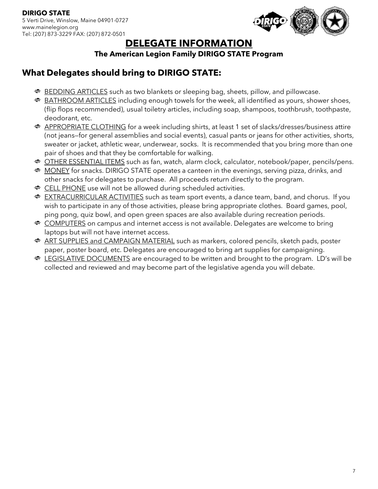

# **DELEGATE INFORMATION**

### **The American Legion Family DIRIGO STATE Program**

## **What Delegates should bring to DIRIGO STATE:**

- **BEDDING ARTICLES** such as two blankets or sleeping bag, sheets, pillow, and pillowcase.
- **BATHROOM ARTICLES** including enough towels for the week, all identified as yours, shower shoes, (flip flops recommended), usual toiletry articles, including soap, shampoos, toothbrush, toothpaste, deodorant, etc.
- APPROPRIATE CLOTHING for a week including shirts, at least 1 set of slacks/dresses/business attire (not jeans—for general assemblies and social events), casual pants or jeans for other activities, shorts, sweater or jacket, athletic wear, underwear, socks. It is recommended that you bring more than one pair of shoes and that they be comfortable for walking.
- **<sup>®</sup>** OTHER ESSENTIAL ITEMS such as fan, watch, alarm clock, calculator, notebook/paper, pencils/pens.
- **MONEY** for snacks. DIRIGO STATE operates a canteen in the evenings, serving pizza, drinks, and other snacks for delegates to purchase. All proceeds return directly to the program.
- **ELL PHONE** use will not be allowed during scheduled activities.
- **EXTRACURRICULAR ACTIVITIES** such as team sport events, a dance team, band, and chorus. If you wish to participate in any of those activities, please bring appropriate clothes. Board games, pool, ping pong, quiz bowl, and open green spaces are also available during recreation periods.
- **COMPUTERS** on campus and internet access is not available. Delegates are welcome to bring laptops but will not have internet access.
- **ART SUPPLIES and CAMPAIGN MATERIAL** such as markers, colored pencils, sketch pads, poster paper, poster board, etc. Delegates are encouraged to bring art supplies for campaigning.
- **EGISLATIVE DOCUMENTS** are encouraged to be written and brought to the program. LD's will be collected and reviewed and may become part of the legislative agenda you will debate.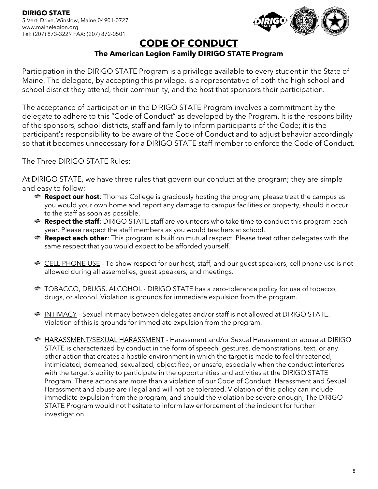

## **CODE OF CONDUCT**

## **The American Legion Family DIRIGO STATE Program**

Participation in the DIRIGO STATE Program is a privilege available to every student in the State of Maine. The delegate, by accepting this privilege, is a representative of both the high school and school district they attend, their community, and the host that sponsors their participation.

The acceptance of participation in the DIRIGO STATE Program involves a commitment by the delegate to adhere to this "Code of Conduct" as developed by the Program. It is the responsibility of the sponsors, school districts, staff and family to inform participants of the Code; it is the participant's responsibility to be aware of the Code of Conduct and to adjust behavior accordingly so that it becomes unnecessary for a DIRIGO STATE staff member to enforce the Code of Conduct.

The Three DIRIGO STATE Rules:

At DIRIGO STATE, we have three rules that govern our conduct at the program; they are simple and easy to follow:

- **Respect our host**: Thomas College is graciously hosting the program, please treat the campus as you would your own home and report any damage to campus facilities or property, should it occur to the staff as soon as possible.
- **Propect the staff:** DIRIGO STATE staff are volunteers who take time to conduct this program each year. Please respect the staff members as you would teachers at school.
- **Respect each other**: This program is built on mutual respect. Please treat other delegates with the same respect that you would expect to be afforded yourself.
- **ELL PHONE USE** To show respect for our host, staff, and our guest speakers, cell phone use is not allowed during all assemblies, guest speakers, and meetings.
- TOBACCO, DRUGS, ALCOHOL DIRIGO STATE has a zero-tolerance policy for use of tobacco, drugs, or alcohol. Violation is grounds for immediate expulsion from the program.
- **INTIMACY** Sexual intimacy between delegates and/or staff is not allowed at DIRIGO STATE. Violation of this is grounds for immediate expulsion from the program.
- HARASSMENT/SEXUAL HARASSMENT Harassment and/or Sexual Harassment or abuse at DIRIGO STATE is characterized by conduct in the form of speech, gestures, demonstrations, text, or any other action that creates a hostile environment in which the target is made to feel threatened, intimidated, demeaned, sexualized, objectified, or unsafe, especially when the conduct interferes with the target's ability to participate in the opportunities and activities at the DIRIGO STATE Program. These actions are more than a violation of our Code of Conduct. Harassment and Sexual Harassment and abuse are illegal and will not be tolerated. Violation of this policy can include immediate expulsion from the program, and should the violation be severe enough, The DIRIGO STATE Program would not hesitate to inform law enforcement of the incident for further investigation.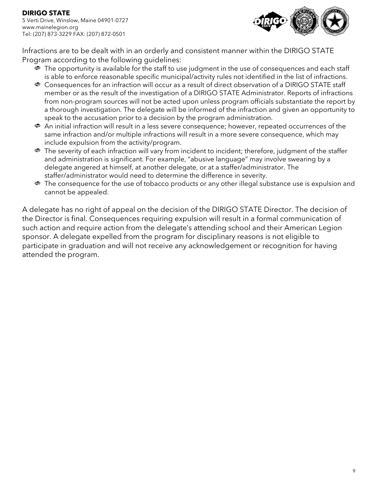**DIRIGO STATE** 5 Verti Drive, Winslow, Maine 04901-0727 www.mainelegion.org Tel: (207) 873-3229 FAX: (207) 872-0501



Infractions are to be dealt with in an orderly and consistent manner within the DIRIGO STATE Program according to the following guidelines:

- $\bullet$  The opportunity is available for the staff to use judgment in the use of consequences and each staff is able to enforce reasonable specific municipal/activity rules not identified in the list of infractions.
- Consequences for an infraction will occur as a result of direct observation of a DIRIGO STATE staff member or as the result of the investigation of a DIRIGO STATE Administrator. Reports of infractions from non-program sources will not be acted upon unless program officials substantiate the report by a thorough investigation. The delegate will be informed of the infraction and given an opportunity to speak to the accusation prior to a decision by the program administration.
- An initial infraction will result in a less severe consequence; however, repeated occurrences of the same infraction and/or multiple infractions will result in a more severe consequence, which may include expulsion from the activity/program.
- The severity of each infraction will vary from incident to incident; therefore, judgment of the staffer and administration is significant. For example, "abusive language" may involve swearing by a delegate angered at himself, at another delegate, or at a staffer/administrator. The staffer/administrator would need to determine the difference in severity.
- The consequence for the use of tobacco products or any other illegal substance use is expulsion and cannot be appealed.

A delegate has no right of appeal on the decision of the DIRIGO STATE Director. The decision of the Director is final. Consequences requiring expulsion will result in a formal communication of such action and require action from the delegate's attending school and their American Legion sponsor. A delegate expelled from the program for disciplinary reasons is not eligible to participate in graduation and will not receive any acknowledgement or recognition for having attended the program.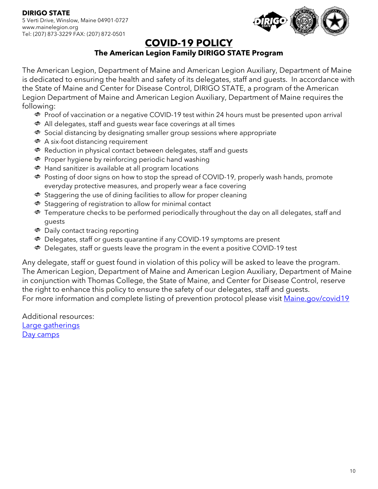

# **COVID-19 POLICY**

## **The American Legion Family DIRIGO STATE Program**

The American Legion, Department of Maine and American Legion Auxiliary, Department of Maine is dedicated to ensuring the health and safety of its delegates, staff and guests. In accordance with the State of Maine and Center for Disease Control, DIRIGO STATE, a program of the American Legion Department of Maine and American Legion Auxiliary, Department of Maine requires the following:

- Proof of vaccination or a negative COVID-19 test within 24 hours must be presented upon arrival
- All delegates, staff and guests wear face coverings at all times
- Social distancing by designating smaller group sessions where appropriate
- **<sup>●</sup>** A six-foot distancing requirement
- Reduction in physical contact between delegates, staff and guests
- **<sup>●</sup>** Proper hygiene by reinforcing periodic hand washing
- Hand sanitizer is available at all program locations
- ◆ Posting of door signs on how to stop the spread of COVID-19, properly wash hands, promote everyday protective measures, and properly wear a face covering
- $\bullet$  Staggering the use of dining facilities to allow for proper cleaning
- ◆ Staggering of registration to allow for minimal contact
- **•** Temperature checks to be performed periodically throughout the day on all delegates, staff and guests
- Daily contact tracing reporting
- Delegates, staff or guests quarantine if any COVID-19 symptoms are present
- Delegates, staff or guests leave the program in the event a positive COVID-19 test

Any delegate, staff or guest found in violation of this policy will be asked to leave the program. The American Legion, Department of Maine and American Legion Auxiliary, Department of Maine in conjunction with Thomas College, the State of Maine, and Center for Disease Control, reserve the right to enhance this policy to ensure the safety of our delegates, staff and guests. For more information and complete listing of prevention protocol please visit [Maine.gov/covid19](https://www.maine.gov/covid19/)

Additional resources: [Large gatherings](https://www.maine.gov/decd/checklists/large-social-gatherings) [Day camps](https://www.maine.gov/decd/checklists/day-camps)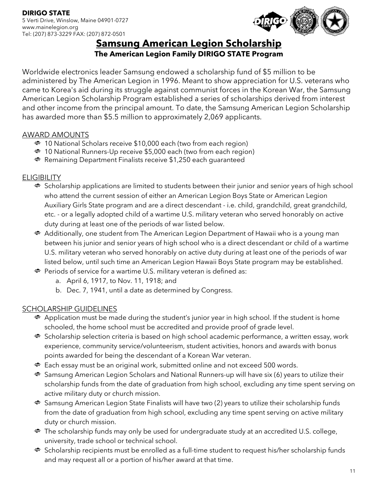

# **Samsung American Legion Scholarship**

## **The American Legion Family DIRIGO STATE Program**

Worldwide electronics leader Samsung endowed a scholarship fund of \$5 million to be administered by The American Legion in 1996. Meant to show appreciation for U.S. veterans who came to Korea's aid during its struggle against communist forces in the Korean War, the Samsung American Legion Scholarship Program established a series of scholarships derived from interest and other income from the principal amount. To date, the Samsung American Legion Scholarship has awarded more than \$5.5 million to approximately 2,069 applicants.

### AWARD AMOUNTS

- 10 National Scholars receive \$10,000 each (two from each region)
- 10 National Runners-Up receive \$5,000 each (two from each region)
- **Remaining Department Finalists receive \$1,250 each guaranteed**

### **ELIGIBILITY**

- $\bullet$  Scholarship applications are limited to students between their junior and senior years of high school who attend the current session of either an American Legion Boys State or American Legion Auxiliary Girls State program and are a direct descendant - i.e. child, grandchild, great grandchild, etc. - or a legally adopted child of a wartime U.S. military veteran who served honorably on active duty during at least one of the periods of war listed below.
- Additionally, one student from The American Legion Department of Hawaii who is a young man between his junior and senior years of high school who is a direct descendant or child of a wartime U.S. military veteran who served honorably on active duty during at least one of the periods of war listed below, until such time an American Legion Hawaii Boys State program may be established.
- Periods of service for a wartime U.S. military veteran is defined as:
	- a. April 6, 1917, to Nov. 11, 1918; and
	- b. Dec. 7, 1941, until a date as determined by Congress.

### SCHOLARSHIP GUIDELINES

- $\clubsuit$  Application must be made during the student's junior year in high school. If the student is home schooled, the home school must be accredited and provide proof of grade level.
- ◆ Scholarship selection criteria is based on high school academic performance, a written essay, work experience, community service/volunteerism, student activities, honors and awards with bonus points awarded for being the descendant of a Korean War veteran.
- $\bullet$  Each essay must be an original work, submitted online and not exceed 500 words.
- Samsung American Legion Scholars and National Runners-up will have six (6) years to utilize their scholarship funds from the date of graduation from high school, excluding any time spent serving on active military duty or church mission.
- Samsung American Legion State Finalists will have two (2) years to utilize their scholarship funds from the date of graduation from high school, excluding any time spent serving on active military duty or church mission.
- **•** The scholarship funds may only be used for undergraduate study at an accredited U.S. college, university, trade school or technical school.
- $\clubsuit$  Scholarship recipients must be enrolled as a full-time student to request his/her scholarship funds and may request all or a portion of his/her award at that time.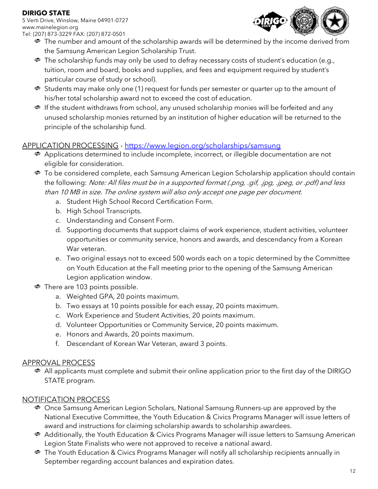### **DIRIGO STATE**

5 Verti Drive, Winslow, Maine 04901-0727 www.mainelegion.org Tel: (207) 873-3229 FAX: (207) 872-0501



- $\bullet$  The number and amount of the scholarship awards will be determined by the income derived from the Samsung American Legion Scholarship Trust.
- The scholarship funds may only be used to defray necessary costs of student's education (e.g., tuition, room and board, books and supplies, and fees and equipment required by student's particular course of study or school).
- $\bullet$  Students may make only one (1) request for funds per semester or quarter up to the amount of his/her total scholarship award not to exceed the cost of education.
- **If the student withdraws from school, any unused scholarship monies will be forfeited and any** unused scholarship monies returned by an institution of higher education will be returned to the principle of the scholarship fund.

### APPLICATION PROCESSING - <https://www.legion.org/scholarships/samsung>

- Applications determined to include incomplete, incorrect, or illegible documentation are not eligible for consideration.
- To be considered complete, each Samsung American Legion Scholarship application should contain the following: Note: All files must be in a supported format (.png, .gif, .jpg, .jpeg, or .pdf) and less than 10 MB in size. The online system will also only accept one page per document.
	- a. Student High School Record Certification Form.
	- b. High School Transcripts.
	- c. Understanding and Consent Form.
	- d. Supporting documents that support claims of work experience, student activities, volunteer opportunities or community service, honors and awards, and descendancy from a Korean War veteran.
	- e. Two original essays not to exceed 500 words each on a topic determined by the Committee on Youth Education at the Fall meeting prior to the opening of the Samsung American Legion application window.
- There are 103 points possible.
	- a. Weighted GPA, 20 points maximum.
	- b. Two essays at 10 points possible for each essay, 20 points maximum.
	- c. Work Experience and Student Activities, 20 points maximum.
	- d. Volunteer Opportunities or Community Service, 20 points maximum.
	- e. Honors and Awards, 20 points maximum.
	- f. Descendant of Korean War Veteran, award 3 points.

### APPROVAL PROCESS

All applicants must complete and submit their online application prior to the first day of the DIRIGO STATE program.

## NOTIFICATION PROCESS

- Once Samsung American Legion Scholars, National Samsung Runners-up are approved by the National Executive Committee, the Youth Education & Civics Programs Manager will issue letters of award and instructions for claiming scholarship awards to scholarship awardees.
- Additionally, the Youth Education & Civics Programs Manager will issue letters to Samsung American Legion State Finalists who were not approved to receive a national award.
- The Youth Education & Civics Programs Manager will notify all scholarship recipients annually in September regarding account balances and expiration dates.